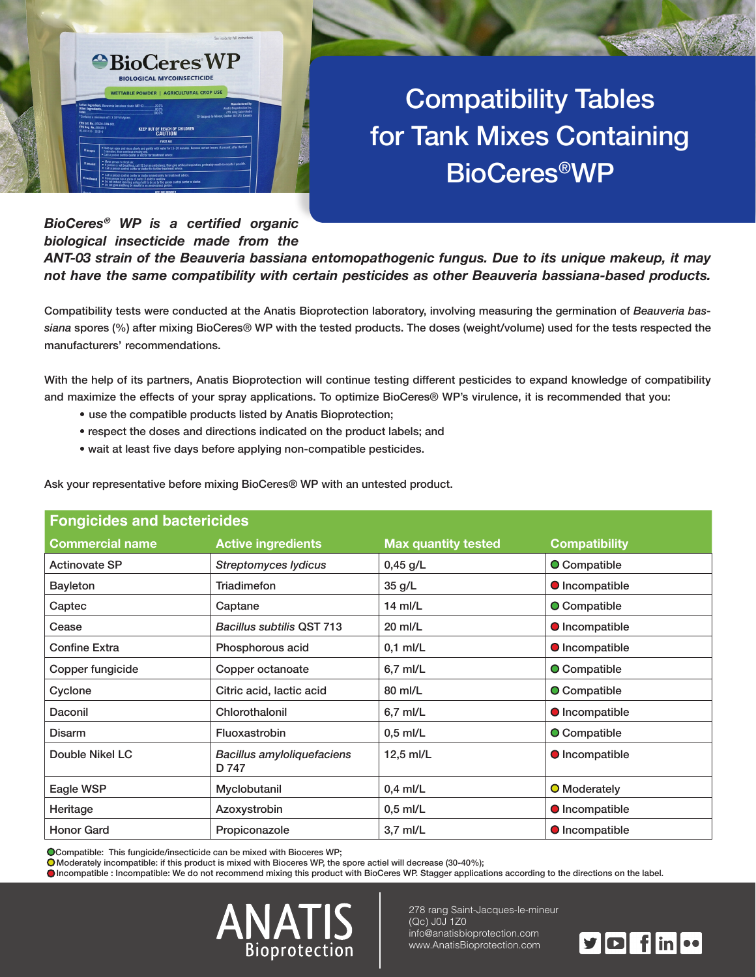

# **Compatibility Tables** for Tank Mixes Containing **BioCeres<sup>®</sup>WP**

#### *BioCeres<sup>®</sup> WP is a certified organic* **biological insecticide made from the** ANT-03 strain of the Beauveria bassiana entomopathogenic fungus. Due to its unique makeup, it may not have the same compatibility with certain pesticides as other Beauveria bassiana-based products.

siana spores (%) after mixing BioCeres® WP with the tested products. The doses (weight/volume) used for the tests respected the Compatibility tests were conducted at the Anatis Bioprotection laboratory, involving measuring the germination of Beauveria basmanufacturers' recommendations.

With the help of its partners, Anatis Bioprotection will continue testing different pesticides to expand knowledge of compatibility and maximize the effects of your spray applications. To optimize BioCeres® WP's virulence, it is recommended that you:

- use the compatible products listed by Anatis Bioprotection;
- respect the doses and directions indicated on the product labels; and
- wait at least five days before applying non-compatible pesticides.

Ask your representative before mixing BioCeres® WP with an untested product.

| <b>Fongicides and bactericides</b> |                                     |                            |                       |
|------------------------------------|-------------------------------------|----------------------------|-----------------------|
| <b>Commercial name</b>             | <b>Active ingredients</b>           | <b>Max quantity tested</b> | <b>Compatibility</b>  |
| <b>Actinovate SP</b>               | <b>Streptomyces lydicus</b>         | 0,45 g/L                   | O Compatible          |
| <b>Bayleton</b>                    | Triadimefon                         | 35 g/L                     | <b>O</b> Incompatible |
| Captec                             | Captane                             | $14$ ml/L                  | <b>O</b> Compatible   |
| Cease                              | <b>Bacillus subtilis QST 713</b>    | $20$ ml/L                  | <b>O</b> Incompatible |
| <b>Confine Extra</b>               | Phosphorous acid                    | $0,1$ ml/L                 | <b>O</b> Incompatible |
| Copper fungicide                   | Copper octanoate                    | 6,7 ml/L                   | <b>O</b> Compatible   |
| Cyclone                            | Citric acid, lactic acid            | 80 ml/L                    | O Compatible          |
| Daconil                            | Chlorothalonil                      | 6,7 ml/L                   | <b>O</b> Incompatible |
| <b>Disarm</b>                      | Fluoxastrobin                       | $0.5$ ml/L                 | <b>O</b> Compatible   |
| Double Nikel LC                    | Bacillus amyloliquefaciens<br>D 747 | $12.5$ ml/L                | <b>O</b> Incompatible |
| Eagle WSP                          | Myclobutanil                        | $0,4$ ml/L                 | <b>O</b> Moderately   |
| Heritage                           | Azoxystrobin                        | $0.5$ ml/L                 | <b>O</b> Incompatible |
| <b>Honor Gard</b>                  | Propiconazole                       | $3.7$ ml/L                 | <b>O</b> Incompatible |

O Compatible: This fungicide/insecticide can be mixed with Bioceres WP;

O Moderately incompatible: if this product is mixed with Bioceres WP, the spore actiel will decrease (30-40%);

Olncompatible : Incompatible: We do not recommend mixing this product with BioCeres WP. Stagger applications according to the directions on the label.



278 rang Saint-Jacques-le-mineur  $(Qc)$  JOJ 1Z0 info@anatisbioprotection.com www.AnatisBioprotection.com

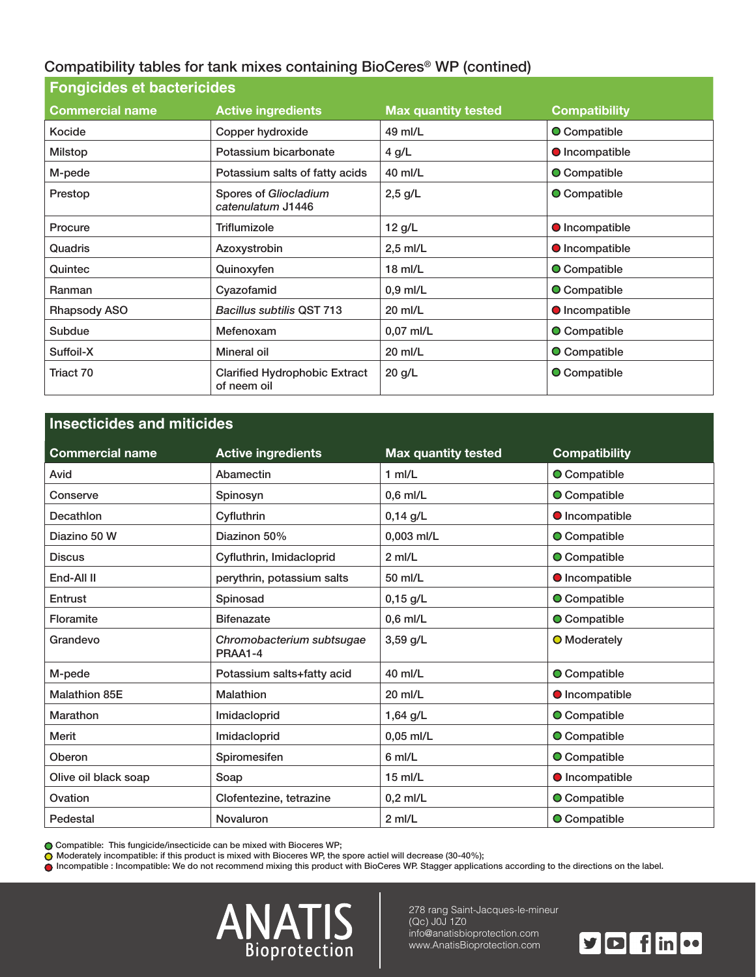### Compatibility tables for tank mixes containing BioCeres<sup>®</sup> WP (contined)

| <b>Fongicides et bactericides</b> |                                                     |                            |                       |
|-----------------------------------|-----------------------------------------------------|----------------------------|-----------------------|
| <b>Commercial name</b>            | <b>Active ingredients</b>                           | <b>Max quantity tested</b> | <b>Compatibility</b>  |
| Kocide                            | Copper hydroxide                                    | 49 ml/L                    | <b>O</b> Compatible   |
| <b>Milstop</b>                    | Potassium bicarbonate                               | 4 g/L                      | <b>O</b> Incompatible |
| M-pede                            | Potassium salts of fatty acids                      | 40 ml/L                    | <b>O</b> Compatible   |
| Prestop                           | Spores of Gliocladium<br>catenulatum J1446          | $2,5$ g/L                  | <b>O</b> Compatible   |
| Procure                           | Triflumizole                                        | 12 g/L                     | <b>O</b> Incompatible |
| Quadris                           | Azoxystrobin                                        | $2,5$ ml/L                 | <b>O</b> Incompatible |
| Quintec                           | Quinoxyfen                                          | $18$ ml/L                  | <b>O</b> Compatible   |
| Ranman                            | Cyazofamid                                          | $0.9$ ml/L                 | O Compatible          |
| Rhapsody ASO                      | <b>Bacillus subtilis QST 713</b>                    | 20 ml/L                    | <b>O</b> Incompatible |
| Subdue                            | Mefenoxam                                           | 0,07 ml/L                  | O Compatible          |
| Suffoil-X                         | Mineral oil                                         | 20 ml/L                    | O Compatible          |
| Triact 70                         | <b>Clarified Hydrophobic Extract</b><br>of neem oil | 20 g/L                     | <b>O</b> Compatible   |

## **Insecticides and miticides Commercial name**  $\qquad$  **Active ingredients Active Max quantity tested Compatibility** Avid Abamectin Abamectin and Abamectin and Abamectin and Avid 1 ml/L and Avid Compatible Conserve Spinosyn Bonder Spinosyn (0,6 ml/L Conserve Compatible Incompatible L/g 0,14 Cyfluthrin Decathlon Diazino 50 W Diazinon 50% | 0,003 ml/L  $\bigcirc$  O Compatible Discus Cyfluthrin, Imidacloprid 2 ml/L Discus Compatible End-All II and II all-End-All II and II all-End-All II all-End-All II all-End-All-End-All-End-All-End-All-End-All-End-All-End-All-End-All-End-All-End-All-End-All-End-All-End-All-End-All-End-All-End-All-End-All-End-All-End-Entrust Compatible Compatible Compatible Compatible Compatible Compatible Compatible Floramite Bifenazate Bifenazate 1 0.6 ml/L Decompatible Compatible Grandevo **Chromobacterium** subtsugae PRAA1-4 3,59 g/L **O** Moderately M-pede **Compatible Leapers** Potassium salts+fatty acid fatter and the M-pede-M-matible **Compatible** Malathion 85E **Malathion** Malathion 20 ml/L **Democration** Democration Malathion Marathon Marathon | Imidacloprid | 1,64 g/L **O** Compatible Merit **Compatible Late Compatible Limidacloprid** Merit 10,05 ml/L **Compatible O** Compatible Oberon **Compatible Limits Compatible Limits Compatible Compatible Limits Compatible Limits Compatible** Olive oil black soap som black of the Soap black of the Soap black of the Soap black of the Soap black of the M Ovation Clofentezine, tetrazine  $\vert 0.2 \text{ m/L} \vert$  Ocompatible Pedestal **Novaluron** Redestal **O** Compatible **Let us** Novaluron **Pedestal Compatible**

Compatible: This fungicide/insecticide can be mixed with Bioceres WP;

 $\bigcirc$  Moderately incompatible: if this product is mixed with Bioceres WP, the spore actiel will decrease (30-40%);

ncompatible : Incompatible: We do not recommend mixing this product with BioCeres WP. Stagger applications according to the directions on the label.



278 rang Saint-Jacques-le-mineur  $(Qc)$  JOJ 1Z0 info@anatisbioprotection.com www.AnatisBioprotection.com